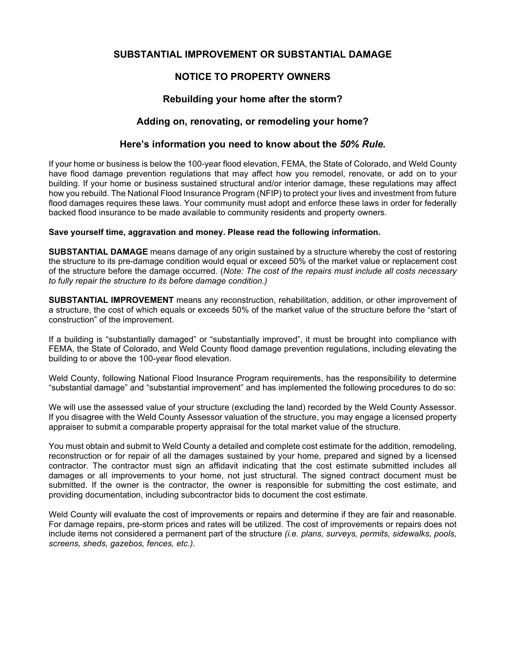# **SUBSTANTIAL IMPROVEMENT OR SUBSTANTIAL DAMAGE**

# **NOTICE TO PROPERTY OWNERS**

# **Rebuilding your home after the storm?**

## **Adding on, renovating, or remodeling your home?**

### **Here's information you need to know about the** *50% Rule.*

If your home or business is below the 100-year flood elevation, FEMA, the State of Colorado, and Weld County have flood damage prevention regulations that may affect how you remodel, renovate, or add on to your building. If your home or business sustained structural and/or interior damage, these regulations may affect how you rebuild. The National Flood Insurance Program (NFIP) to protect your lives and investment from future flood damages requires these laws. Your community must adopt and enforce these laws in order for federally backed flood insurance to be made available to community residents and property owners.

### **Save yourself time, aggravation and money. Please read the following information.**

**SUBSTANTIAL DAMAGE** means damage of any origin sustained by a structure whereby the cost of restoring the structure to its pre-damage condition would equal or exceed 50% of the market value or replacement cost of the structure before the damage occurred. (*Note: The cost of the repairs must include all costs necessary to fully repair the structure to its before damage condition.)* 

**SUBSTANTIAL IMPROVEMENT** means any reconstruction, rehabilitation, addition, or other improvement of a structure, the cost of which equals or exceeds 50% of the market value of the structure before the "start of construction" of the improvement.

If a building is "substantially damaged" or "substantially improved", it must be brought into compliance with FEMA, the State of Colorado, and Weld County flood damage prevention regulations, including elevating the building to or above the 100-year flood elevation.

Weld County, following National Flood Insurance Program requirements, has the responsibility to determine "substantial damage" and "substantial improvement" and has implemented the following procedures to do so:

We will use the assessed value of your structure (excluding the land) recorded by the Weld County Assessor. If you disagree with the Weld County Assessor valuation of the structure, you may engage a licensed property appraiser to submit a comparable property appraisal for the total market value of the structure.

You must obtain and submit to Weld County a detailed and complete cost estimate for the addition, remodeling, reconstruction or for repair of all the damages sustained by your home, prepared and signed by a licensed contractor. The contractor must sign an affidavit indicating that the cost estimate submitted includes all damages or all improvements to your home, not just structural. The signed contract document must be submitted. If the owner is the contractor, the owner is responsible for submitting the cost estimate, and providing documentation, including subcontractor bids to document the cost estimate.

Weld County will evaluate the cost of improvements or repairs and determine if they are fair and reasonable. For damage repairs, pre-storm prices and rates will be utilized. The cost of improvements or repairs does not include items not considered a permanent part of the structure *(i.e. plans, surveys, permits, sidewalks, pools, screens, sheds, gazebos, fences, etc.).*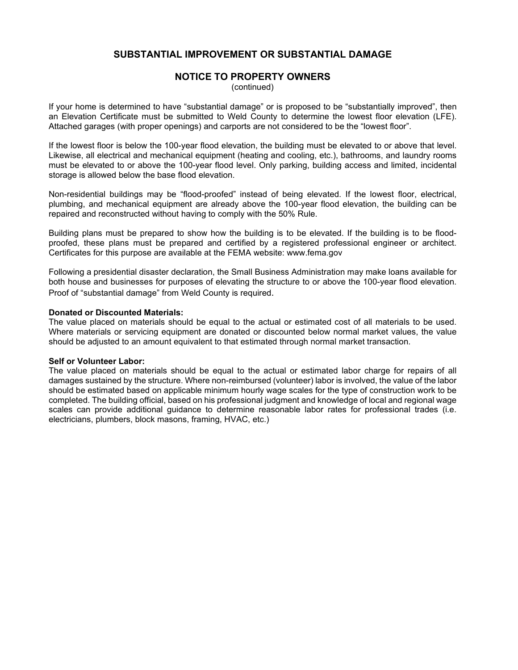# **SUBSTANTIAL IMPROVEMENT OR SUBSTANTIAL DAMAGE**

### **NOTICE TO PROPERTY OWNERS**

(continued)

If your home is determined to have "substantial damage" or is proposed to be "substantially improved", then an Elevation Certificate must be submitted to Weld County to determine the lowest floor elevation (LFE). Attached garages (with proper openings) and carports are not considered to be the "lowest floor".

If the lowest floor is below the 100-year flood elevation, the building must be elevated to or above that level. Likewise, all electrical and mechanical equipment (heating and cooling, etc.), bathrooms, and laundry rooms must be elevated to or above the 100-year flood level. Only parking, building access and limited, incidental storage is allowed below the base flood elevation.

Non-residential buildings may be "flood-proofed" instead of being elevated. If the lowest floor, electrical, plumbing, and mechanical equipment are already above the 100-year flood elevation, the building can be repaired and reconstructed without having to comply with the 50% Rule.

Building plans must be prepared to show how the building is to be elevated. If the building is to be floodproofed, these plans must be prepared and certified by a registered professional engineer or architect. Certificates for this purpose are available at the FEMA website: www.fema.gov

Following a presidential disaster declaration, the Small Business Administration may make loans available for both house and businesses for purposes of elevating the structure to or above the 100-year flood elevation. Proof of "substantial damage" from Weld County is required.

#### **Donated or Discounted Materials:**

The value placed on materials should be equal to the actual or estimated cost of all materials to be used. Where materials or servicing equipment are donated or discounted below normal market values, the value should be adjusted to an amount equivalent to that estimated through normal market transaction.

#### **Self or Volunteer Labor:**

The value placed on materials should be equal to the actual or estimated labor charge for repairs of all damages sustained by the structure. Where non-reimbursed (volunteer) labor is involved, the value of the labor should be estimated based on applicable minimum hourly wage scales for the type of construction work to be completed. The building official, based on his professional judgment and knowledge of local and regional wage scales can provide additional guidance to determine reasonable labor rates for professional trades (i.e. electricians, plumbers, block masons, framing, HVAC, etc.)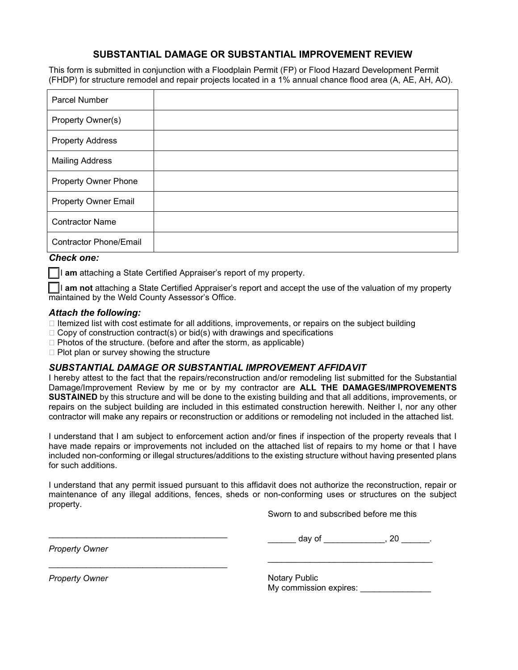# **SUBSTANTIAL DAMAGE OR SUBSTANTIAL IMPROVEMENT REVIEW**

This form is submitted in conjunction with a Floodplain Permit (FP) or Flood Hazard Development Permit (FHDP) for structure remodel and repair projects located in a 1% annual chance flood area (A, AE, AH, AO).

| <b>Parcel Number</b>          |  |
|-------------------------------|--|
| Property Owner(s)             |  |
| <b>Property Address</b>       |  |
| <b>Mailing Address</b>        |  |
| Property Owner Phone          |  |
| <b>Property Owner Email</b>   |  |
| <b>Contractor Name</b>        |  |
| <b>Contractor Phone/Email</b> |  |

## *Check one:*

*I* I am attaching a State Certified Appraiser's report of my property.

[ ] I **am not** attaching a State Certified Appraiser's report and accept the use of the valuation of my property maintained by the Weld County Assessor's Office.

### *Attach the following:*

- $\Box$  Itemized list with cost estimate for all additions, improvements, or repairs on the subject building
- $\Box$  Copy of construction contract(s) or bid(s) with drawings and specifications
- $\Box$  Photos of the structure. (before and after the storm, as applicable)
- $\Box$  Plot plan or survey showing the structure

\_\_\_\_\_\_\_\_\_\_\_\_\_\_\_\_\_\_\_\_\_\_\_\_\_\_\_\_\_\_\_\_\_\_\_\_\_\_

\_\_\_\_\_\_\_\_\_\_\_\_\_\_\_\_\_\_\_\_\_\_\_\_\_\_\_\_\_\_\_\_\_\_\_\_\_\_

## *SUBSTANTIAL DAMAGE OR SUBSTANTIAL IMPROVEMENT AFFIDAVIT*

I hereby attest to the fact that the repairs/reconstruction and/or remodeling list submitted for the Substantial Damage/Improvement Review by me or by my contractor are **ALL THE DAMAGES/IMPROVEMENTS SUSTAINED** by this structure and will be done to the existing building and that all additions, improvements, or repairs on the subject building are included in this estimated construction herewith. Neither I, nor any other contractor will make any repairs or reconstruction or additions or remodeling not included in the attached list.

I understand that I am subject to enforcement action and/or fines if inspection of the property reveals that I have made repairs or improvements not included on the attached list of repairs to my home or that I have included non-conforming or illegal structures/additions to the existing structure without having presented plans for such additions.

I understand that any permit issued pursuant to this affidavit does not authorize the reconstruction, repair or maintenance of any illegal additions, fences, sheds or non-conforming uses or structures on the subject property.

Sworn to and subscribed before me this

*Property Owner* 

\_\_\_\_\_\_\_ day of \_\_\_\_\_\_\_\_\_\_\_\_\_, 20 \_\_\_\_\_\_.

\_\_\_\_\_\_\_\_\_\_\_\_\_\_\_\_\_\_\_\_\_\_\_\_\_\_\_\_\_\_\_\_\_\_\_

*Property Owner* 

Notary Public My commission expires: \_\_\_\_\_\_\_\_\_\_\_\_\_\_\_\_